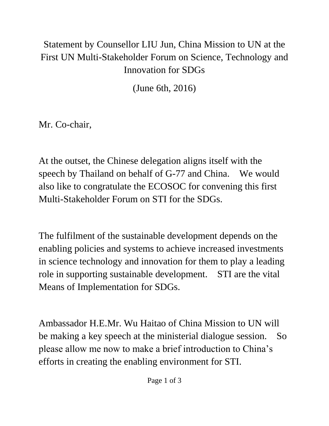## Statement by Counsellor LIU Jun, China Mission to UN at the First UN Multi-Stakeholder Forum on Science, Technology and Innovation for SDGs

(June 6th, 2016)

Mr. Co-chair,

At the outset, the Chinese delegation aligns itself with the speech by Thailand on behalf of G-77 and China. We would also like to congratulate the ECOSOC for convening this first Multi-Stakeholder Forum on STI for the SDGs.

The fulfilment of the sustainable development depends on the enabling policies and systems to achieve increased investments in science technology and innovation for them to play a leading role in supporting sustainable development. STI are the vital Means of Implementation for SDGs.

Ambassador H.E.Mr. Wu Haitao of China Mission to UN will be making a key speech at the ministerial dialogue session. So please allow me now to make a brief introduction to China's efforts in creating the enabling environment for STI.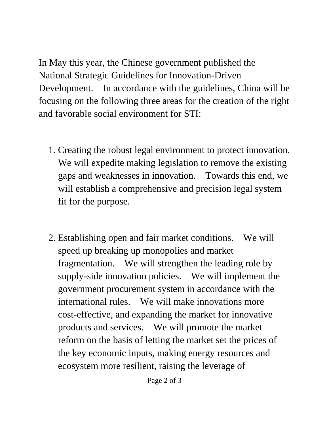In May this year, the Chinese government published the National Strategic Guidelines for Innovation-Driven Development. In accordance with the guidelines, China will be focusing on the following three areas for the creation of the right and favorable social environment for STI:

- 1. Creating the robust legal environment to protect innovation. We will expedite making legislation to remove the existing gaps and weaknesses in innovation. Towards this end, we will establish a comprehensive and precision legal system fit for the purpose.
- 2. Establishing open and fair market conditions. We will speed up breaking up monopolies and market fragmentation. We will strengthen the leading role by supply-side innovation policies. We will implement the government procurement system in accordance with the international rules. We will make innovations more cost-effective, and expanding the market for innovative products and services. We will promote the market reform on the basis of letting the market set the prices of the key economic inputs, making energy resources and ecosystem more resilient, raising the leverage of